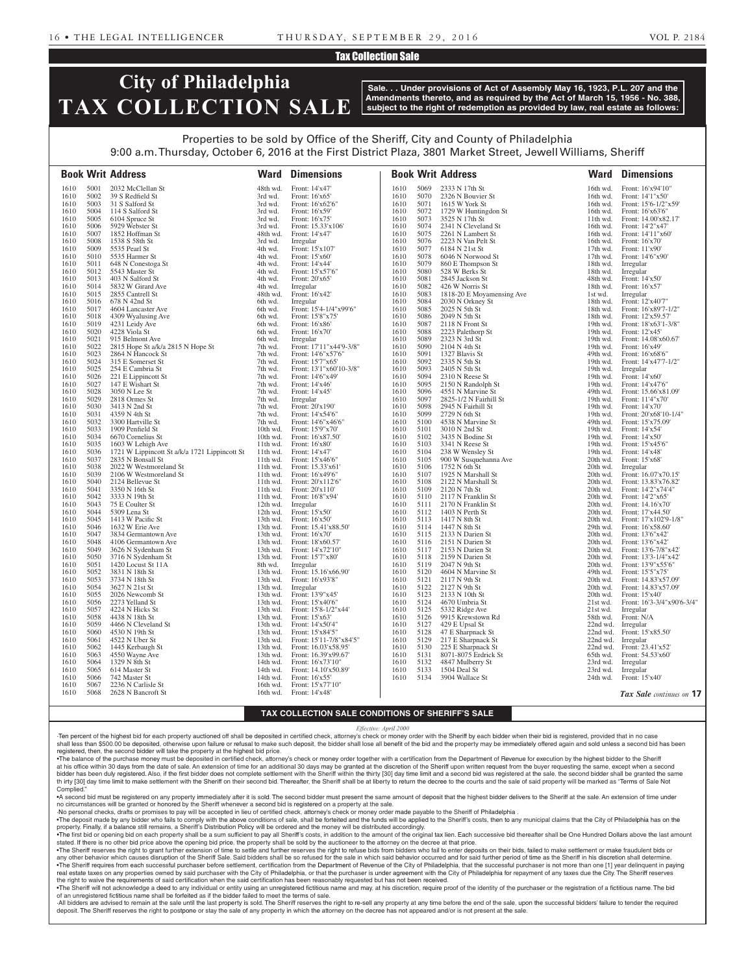### Tax Collection Sale

## **City of Philadelphia TAX COLLECTION SALE**

**Sale. . . Under provisions of Act of Assembly May 16, 1923, P.L. 207 and the Amendments thereto, and as required by the Act of March 15, 1956 - No. 388, subject to the right of redemption as provided by law, real estate as follows:**

## Properties to be sold by Office of the Sheriff, City and County of Philadelphia

9:00 a.m. Thursday, October 6, 2016 at the First District Plaza, 3801 Market Street, Jewell Williams, Sheriff

|              |              | <b>Book Writ Address</b>                      | Ward                   | <b>Dimensions</b>                           |              |              | <b>Book Writ Address</b>                 | Ward                 | <b>Dimensions</b>                            |
|--------------|--------------|-----------------------------------------------|------------------------|---------------------------------------------|--------------|--------------|------------------------------------------|----------------------|----------------------------------------------|
| 1610         | 5001         | 2032 McClellan St                             | 48th wd.               | Front: 14'x47'                              | 1610         | 5069         | 2333 N 17th St                           | 16th wd.             | Front: 16'x94'10"                            |
| 1610         | 5002         | 39 S Redfield St                              | 3rd wd.                | Front: 16'x65'                              | 1610         | 5070         | 2326 N Bouvier St                        | 16th wd.             | Front: $14'1''x50'$                          |
| 1610         | 5003         | 31 S Salford St                               | 3rd wd.                | Front: 16'x62'6"                            | 1610         | 5071         | 1615 W York St                           | 16th wd.             | Front: 15'6-1/2"x59"                         |
| 1610         | 5004         | 114 S Salford St                              | 3rd wd.                | Front: 16'x59'                              | 1610         | 5072         | 1729 W Huntingdon St                     | 16th wd.             | Front: 16'x63'6"                             |
| 1610         | 5005         | 6104 Spruce St                                | 3rd wd.                | Front: 16'x75'                              | 1610         | 5073         | 3525 N 17th St                           | 11th wd.             | Front: 14.00'x82.17'                         |
| 1610         | 5006         | 5929 Webster St                               | 3rd wd.                | Front: 15.33'x106'                          | 1610         | 5074         | 2341 N Cleveland St                      | 16th wd.             | Front: 14'2"x47'                             |
| 1610<br>1610 | 5007<br>5008 | 1852 Hoffman St<br>1538 S 58th St             | 48th wd.<br>3rd wd.    | Front: 14'x47'<br>Irregular                 | 1610<br>1610 | 5075<br>5076 | 2261 N Lambert St<br>2223 N Van Pelt St  | 16th wd.<br>16th wd. | Front: 14'11"x60"<br>Front: 16'x70'          |
| 1610         | 5009         | 5535 Pearl St                                 | 4th wd.                | Front: 15'x107'                             | 1610         | 5077         | 6184 N 21st St                           | $17th$ wd.           | Front: 11'x90'                               |
| 1610         | 5010         | 5535 Harmer St                                | 4th wd.                | Front: 15'x60'                              | 1610         | 5078         | 6046 N Norwood St                        | 17th wd.             | Front: 14'6"x90"                             |
| 1610         | 5011         | 648 N Conestoga St                            | 4th wd.                | Front: 14'x44'                              | 1610         | 5079         | 860 E Thompson St                        | 18th wd.             | Irregular                                    |
| 1610         | 5012         | 5543 Master St                                | 4th wd.                | Front: 15'x57'6"                            | 1610         | 5080         | 528 W Berks St                           | 18th wd.             | Irregular                                    |
| 1610         | 5013         | 403 N Salford St                              | 4th wd.                | Front: 20'x65'                              | 1610         | 5081         | 2845 Jackson St                          | 48th wd.             | Front: 14'x50'                               |
| 1610         | 5014         | 5832 W Girard Ave                             | 4th wd.                | Irregular                                   | 1610         | 5082         | 426 W Norris St                          | 18th wd.             | Front: 16'x57'                               |
| 1610<br>1610 | 5015<br>5016 | 2855 Cantrell St                              | 48th wd.               | Front: 16'x42'                              | 1610<br>1610 | 5083         | 1818-20 E Moyamensing Ave                | 1st wd.              | Irregular                                    |
| 1610         | 5017         | 678 N 42nd St<br>4604 Lancaster Ave           | 6th wd.<br>6th wd.     | Irregular<br>Front: 15'4-1/4"x99'6"         | 1610         | 5084<br>5085 | 2030 N Orkney St<br>2025 N 5th St        | 18th wd.<br>18th wd. | Front: 12'x40'7"<br>Front: 16'x89'7-1/2"     |
| 1610         | 5018         | 4309 Wyalusing Ave                            | 6th wd.                | Front: 15'8"x75'                            | 1610         | 5086         | 2049 N 5th St                            | 18th wd.             | Front: 12'x59.57'                            |
| 1610         | 5019         | 4231 Leidy Ave                                | 6th wd.                | Front: 16'x86'                              | 1610         | 5087         | 2118 N Front St                          | 19th wd.             | Front: 18'x63'1-3/8"                         |
| 1610         | 5020         | 4228 Viola St                                 | 6th wd.                | Front: 16'x70'                              | 1610         | 5088         | 2223 Palethorp St                        | 19th wd.             | Front: 12'x45'                               |
| 1610         | 5021         | 915 Belmont Ave                               | 6th wd.                | Irregular                                   | 1610         | 5089         | 2323 N 3rd St                            | 19th wd.             | Front: 14.08'x60.67'                         |
| 1610         | 5022         | 2815 Hope St a/k/a 2815 N Hope St             | 7th wd.                | Front: 17'11"x44'9-3/8"                     | 1610         | 5090         | 2104 N 4th St                            | 19th wd.             | Front: 16'x49'                               |
| 1610         | 5023         | 2864 N Hancock St                             | 7th wd.                | Front: 14'6"x57'6"                          | 1610         | 5091         | 1327 Blavis St                           | 49th wd.             | Front: 16'x68'6"                             |
| 1610<br>1610 | 5024<br>5025 | 315 E Somerset St<br>$254\to$ Cambria St      | 7th wd.<br>7th wd.     | Front: 15'7"x65'<br>Front: 13'1"x60'10-3/8" | 1610         | 5092<br>5093 | 2335 N 5th St<br>2405 N 5th St           | 19th $wd$ .          | Front: 14'x47'7-1/2"                         |
| 1610         | 5026         | 221 E Lippincott St                           | 7th wd.                | Front: 14'6"x49"                            | 1610<br>1610 | 5094         | 2310 N Reese St                          | 19th wd.<br>19th wd. | Irregular<br>Front: 14'x60'                  |
| 1610         | 5027         | 147 E Wishart St                              | 7th wd.                | Front: 14'x46'                              | 1610         | 5095         | 2150 N Randolph St                       | 19th wd.             | Front: 14'x47'6"                             |
| 1610         | 5028         | 3050 N Lee St                                 | 7th wd.                | Front: 14'x45'                              | 1610         | 5096         | 4551 N Marvine St                        | 49th wd.             | Front: 15.66'x81.09'                         |
| 1610         | 5029         | 2818 Ormes St                                 | 7th wd.                | Irregular                                   | 1610         | 5097         | 2825-1/2 N Fairhill St                   | 19th wd.             | Front: 11'4"x70"                             |
| 1610         | 5030         | 3413 N 2nd St                                 | 7th wd.                | Front: 20'x190'                             | 1610         | 5098         | 2945 N Fairhill St                       | 19th wd.             | Front: 14'x70'                               |
| 1610         | 5031         | 4359 N 4th St                                 | 7th wd.                | Front: 14'x54'6"                            | 1610         | 5099         | 2729 N 6th St                            | 19th wd.             | Front: 20'x68'10-1/4"                        |
| 1610         | 5032         | 3300 Hartville St                             | 7th wd.                | Front: 14'6"x46'6"                          | 1610         | 5100         | 4538 N Marvine St                        | 49th wd.             | Front: 15'x75.09'                            |
| 1610<br>1610 | 5033<br>5034 | 1909 Penfield St<br>6670 Cornelius St         | 10th wd.<br>10th wd.   | Front: 15'9"x70'<br>Front: 16'x87.50'       | 1610<br>1610 | 5101<br>5102 | 3010 N 2nd St<br>3435 N Bodine St        | 19th wd.<br>19th wd. | Front: 14'x54'<br>Front: 14'x50'             |
| 1610         | 5035         | 1603 W Lehigh Ave                             | 11th wd.               | Front: 16'x80'                              | 1610         | 5103         | 3341 N Reese St                          | 19th wd.             | Front: 15'x45'6"                             |
| 1610         | 5036         | 1721 W Lippincott St a/k/a 1721 Lippincott St | 11th wd.               | Front: 14'x47'                              | 1610         | 5104         | 238 W Wensley St                         | 19th wd.             | Front: 14'x48'                               |
| 1610         | 5037         | 2835 N Bonsall St                             | 11th wd.               | Front: 15'x46'6"                            | 1610         | 5105         | 900 W Susquehanna Ave                    | 20th wd.             | Front: 15'x68'                               |
| 1610         | 5038         | 2022 W Westmoreland St                        | 11th wd.               | Front: 15.33'x61'                           | 1610         | 5106         | 1752 N 6th St                            | 20th wd.             | Irregular                                    |
| 1610         | 5039         | 2106 W Westmoreland St                        | 11th wd.               | Front: 16'x49'6"                            | 1610         | 5107         | 1925 N Marshall St                       | 20th wd.             | Front: 16.07'x70.15'                         |
| 1610         | 5040         | 2124 Bellevue St                              | 11th wd.               | Front: 20'x112'6"                           | 1610         | 5108         | 2122 N Marshall St                       | 20th wd.             | Front: 13.83'x76.82'                         |
| 1610<br>1610 | 5041<br>5042 | 3350 N 16th St<br>3333 N 19th St              | 11th wd.<br>11th wd.   | Front: 20'x110'<br>Front: 16'8"x94'         | 1610<br>1610 | 5109         | 2120 N 7th St<br>5110 2117 N Franklin St | 20th wd.<br>20th wd. | Front: 14'2"x74'4"<br>Front: 14'2"x65"       |
| 1610         | 5043         | 75 E Coulter St                               | 12th wd.               | Irregular                                   | 1610         |              | 5111 2170 N Franklin St                  | 20th wd.             | Front: 14.16'x70'                            |
| 1610         | 5044         | 5309 Lena St                                  | 12th wd.               | Front: 15'x50'                              | 1610         | 5112         | 1403 N Perth St                          | 20th wd.             | Front: 17'x44.50'                            |
| 1610         | 5045         | 1413 W Pacific St                             | 13th wd.               | Front: 16'x50'                              | 1610         | 5113         | 1417 N 8th St                            | 20th wd.             | Front: 17'x102'9-1/8"                        |
| 1610         | 5046         | 1632 W Erie Ave                               | 13th wd.               | Front: 15.41'x88.50'                        | 1610         | 5114         | 1447 N 8th St                            | 29th wd.             | Front: 16'x58.60'                            |
| 1610         | 5047         | 3834 Germantown Ave                           | 13th wd.               | Front: 16'x70'                              | 1610         | 5115         | 2133 N Darien St                         | 20th wd.             | Front: 13'6"x42"                             |
| 1610         | 5048         | 4106 Germantown Ave                           | 13th wd.               | Front: 18'x60.57'                           | 1610         |              | 5116 2151 N Darien St                    | 20th wd.             | Front: 13'6"x42"                             |
| 1610<br>1610 | 5049<br>5050 | 3626 N Sydenham St<br>3716 N Sydenham St      | $13th$ wd.<br>13th wd. | Front: 14'x72'10"<br>Front: 15'7"x80'       | 1610<br>1610 | 5117<br>5118 | 2153 N Darien St<br>2159 N Darien St     | 20th wd.<br>20th wd. | Front: 13'6-7/8"x42"<br>Front: 13'3-1/4"x42" |
| 1610         | 5051         | 1420 Locust St 11A                            | 8th wd.                | Irregular                                   | 1610         |              | 5119 2047 N 9th St                       |                      | 20th wd. Front: 13'9"x55'6"                  |
| 1610         | 5052         | 3831 N 18th St                                |                        | 13th wd. Front: 15.16'x66.90'               | 1610         |              | 5120 4604 N Marvine St                   |                      | 49th wd. Front: 15'5"x75'                    |
| 1610         | 5053         | 3734 N 18th St                                |                        | 13th wd. Front: 16'x93'8"                   | 1610         | 5121         | 2117 N 9th St                            | 20th wd.             | Front: 14.83'x57.09'                         |
| 1610         | 5054         | 3627 N 21st St                                | 13th wd.               | Irregular                                   | 1610         | 5122         | 2127 N 9th St                            | 20th wd.             | Front: 14.83'x57.09'                         |
| 1610         | 5055         | 2026 Newcomb St                               | 13th wd.               | Front: 13'9"x45'                            | 1610         | 5123         | 2133 N 10th St                           | 20th wd.             | Front: 15'x40'                               |
| 1610         | 5056         | 2273 Yelland St                               | 13th wd.               | Front: 15'x40'6"                            | 1610         | 5124         | 4670 Umbria St                           | 21st wd.             | Front: 16'3-3/4"x90'6-3/4"                   |
| 1610         | 5057<br>5058 | 4224 N Hicks St                               | 13th wd.<br>13th wd.   | Front: 15'8-1/2"x44"                        | 1610         | 5125         | 5332 Ridge Ave                           | 21st wd.             | Irregular<br>Front: N/A                      |
| 1610<br>1610 | 5059         | 4438 N 18th St<br>4466 N Cleveland St         | 13th wd.               | Front: 15'x63'<br>Front: 14'x50'4"          | 1610<br>1610 | 5126<br>5127 | 9915 Krewstown Rd<br>429 E Upsal St      | 58th wd.<br>22nd wd. | Irregular                                    |
| 1610         | 5060         | 4530 N 19th St                                | 13th wd.               | Front: 15'x84'5"                            | 1610         | 5128         | 47 E Sharpnack St                        | 22nd wd.             | Front: 15'x85.50'                            |
| 1610         | 5061         | 4522 N Uber St                                | 13th wd.               | Front: 15'11-7/8"x84'5"                     | 1610         | 5129         | 217 E Sharpnack St                       | 22nd wd.             | Irregular                                    |
| 1610         | 5062         | 1445 Kerbaugh St                              | 13th wd.               | Front: 16.03'x58.95'                        | 1610         | 5130         | 225 E Sharpnack St                       | 22nd wd.             | Front: 23.41'x52'                            |
| 1610         | 5063         | 4550 Wayne Ave                                | 13th wd.               | Front: 16.39'x99.67'                        | 1610         | 5131         | 8071-8075 Erdrick St                     | 65th wd.             | Front: 54.53'x60'                            |
| 1610         | 5064         | 1329 N 8th St                                 | 14th wd.               | Front: 16'x73'10"                           | 1610         | 5132         | 4847 Mulberry St                         | 23rd wd.             | Irregular                                    |
| 1610         | 5065         | 614 Master St                                 | 14th wd.               | Front: 14.10'x50.89'<br>Front: 16'x55'      | 1610         | 5133         | 1504 Deal St<br>3904 Wallace St          | 23rd wd.             | Irregular<br>Front: 15'x40'                  |
| 1610<br>1610 | 5066<br>5067 | 742 Master St<br>2236 N Carlisle St           | 14th wd.<br>16th wd.   | Front: 15'x77'10"                           | 1610         | 5134         |                                          | 24th wd.             |                                              |
| 1610         | 5068         | 2628 N Bancroft St                            | 16th wd.               | Front: 14'x48'                              |              |              |                                          |                      | Tax Sale continues on 17                     |
|              |              |                                               |                        |                                             |              |              |                                          |                      |                                              |

### **TAX COLLECTION SALE CONDITIONS OF SHERIFF'S SALE**

*Effective: April 2000*

·Ten percent of the highest bid for each property auctioned off shall be deposited in certified check, attorney's check or money order with the Sheriff by each bidder when their bid is registered, provided that in no case shall less than \$500.00 be deposited, otherwise upon failure or refusal to make such deposit, the bidder shall lose all benefit of the bid and the property may be immediately offered again and sold unless a second bid has registered, then, the second bidder will take the property at the highest bid price.

•The balance of the purchase money must be deposited in certified check, attorney's check or money order together with a certification from the Department of Revenue for execution by the highest bidder to the Sheriff at his office within 30 days from the date of sale. An extension of time for an additional 30 days may be granted at the discretion of the Sheriff upon written request from the buyer requesting the same, except when a seco bidder has been duly registered. Also, if the first bidder does not complete settlement with the Sheriff within the thirty [30] day time limit and a second bid was registered at the sale, the second bidder shall be granted th irty [30] day time limit to make settlement with the Sheriff on their second bid. Thereafter, the Sheriff shall be at liberty to return the decree to the courts and the sale of said property will be marked as "Terms of Complied."

•A second bid must be registered on any property immediately after it is sold. The second bidder must present the same amount of deposit that the highest bidder delivers to the Sheriff at the sale. An extension of time und no circumstances will be granted or honored by the Sheriff whenever a second bid is registered on a property at the sale.

·No personal checks, drafts or promises to pay will be accepted in lieu of certified check, attorney's check or money order made payable to the Sheriff of Philadelphia .

. The deposit made by any bidder who fails to comply with the above conditions of sale, shall be forteited and the funds will be applied to the Sheriff's costs, then to any municipal claims that the City of Philadelphia ha property. Finally, if a balance still remains, a Sheriff's Distribution Policy will be ordered and the money will be distributed accordingly.

. The first bid or opening bid on each property shall be a sum sufficient to pay all Sheriff's costs, in addition to the amount of the original tax lien. Each successive bid thereafter shall be One Hundred Dollars above th stated. If there is no other bid price above the opening bid price, the property shall be sold by the auctioneer to the attorney on the decree at that price. •The Sheriff reserves the right to grant further extension of time to settle and further reserves the right to refuse bids from bidders who fail to enter deposits on their bids. failed to make settlement or make fraudulent

any other behavior which causes disruption of the Sheriff Sale. Said bidders shall be so refused for the sale in which said behavior occurred and for said further period of time as the Sheriff in his discretion shall deter . The Sheriff requires from each successful purchaser before settlement, certification from the Department of Revenue of the City of Philadelphia, that the successful purchaser is not more than one [1] year delinquent in p real estate taxes on any properties owned by said purchaser with the City of Philadelphia, or that the purchaser is under agreement with the City of Philadelphia for repayment of any taxes due the City. The Sheriff reserves the right to waive the requirements of said certification when the said certification has been reasonably requested but has not been received.

. The Sheriff will not acknowledge a deed to any individual or entity using an unregistered fictitious name and may, at his discretion, require proof of the identity of the purchaser or the registration of a fictitious nam of an unregistered fictitious name shall be forfeited as if the bidder failed to meet the terms of sale.

All bidders are advised to remain at the sale until the last property is sold. The Sheriff reserves the right to re-sell any property at any time before the end of the sale, upon the successful bidders' failure to tender t deposit. The Sheriff reserves the right to postpone or stay the sale of any property in which the attorney on the decree has not appeared and/or is not present at the sale.